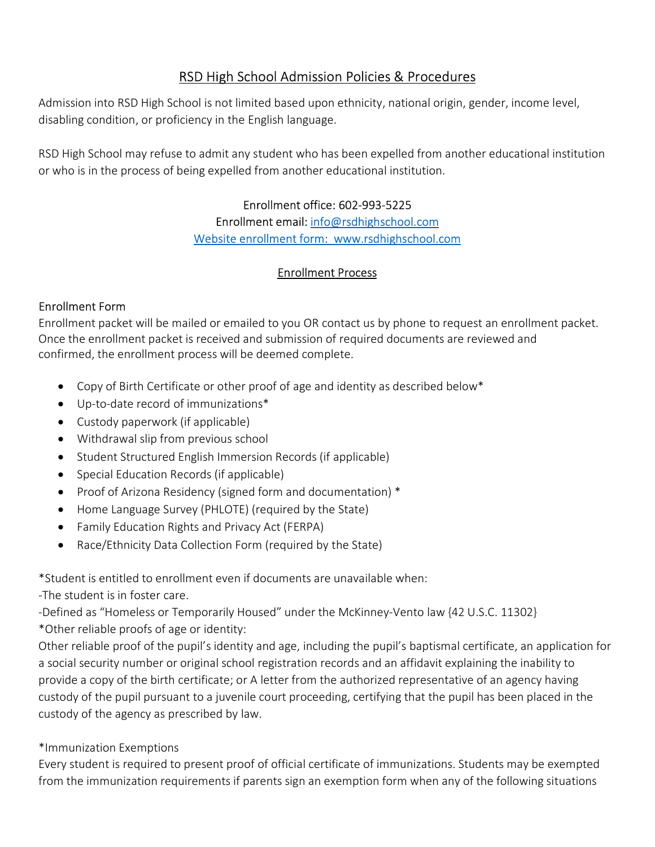# RSD High School Admission Policies & Procedures

Admission into RSD High School is not limited based upon ethnicity, national origin, gender, income level, disabling condition, or proficiency in the English language.

RSD High School may refuse to admit any student who has been expelled from another educational institution or who is in the process of being expelled from another educational institution.

> Enrollment office: 602-993-5225 Enrollment email: info@rsdhighschool.com Website enrollment form: www.rsdhighschool.com

# Enrollment Process

## Enrollment Form

Enrollment packet will be mailed or emailed to you OR contact us by phone to request an enrollment packet. Once the enrollment packet is received and submission of required documents are reviewed and confirmed, the enrollment process will be deemed complete.

- Copy of Birth Certificate or other proof of age and identity as described below\*
- Up-to-date record of immunizations\*
- Custody paperwork (if applicable)
- Withdrawal slip from previous school
- Student Structured English Immersion Records (if applicable)
- Special Education Records (if applicable)
- Proof of Arizona Residency (signed form and documentation) \*
- Home Language Survey (PHLOTE) (required by the State)
- Family Education Rights and Privacy Act (FERPA)
- Race/Ethnicity Data Collection Form (required by the State)

\*Student is entitled to enrollment even if documents are unavailable when:

-The student is in foster care.

-Defined as "Homeless or Temporarily Housed" under the McKinney-Vento law {42 U.S.C. 11302} \*Other reliable proofs of age or identity:

Other reliable proof of the pupil's identity and age, including the pupil's baptismal certificate, an application for a social security number or original school registration records and an affidavit explaining the inability to provide a copy of the birth certificate; or A letter from the authorized representative of an agency having custody of the pupil pursuant to a juvenile court proceeding, certifying that the pupil has been placed in the custody of the agency as prescribed by law.

## \*Immunization Exemptions

Every student is required to present proof of official certificate of immunizations. Students may be exempted from the immunization requirements if parents sign an exemption form when any of the following situations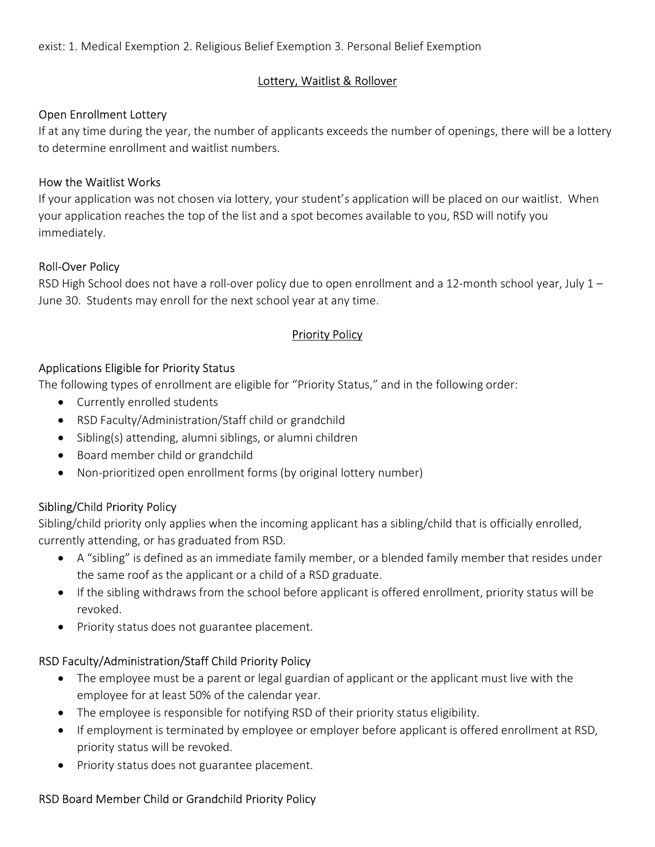#### Lottery, Waitlist & Rollover

#### Open Enrollment Lottery

If at any time during the year, the number of applicants exceeds the number of openings, there will be a lottery to determine enrollment and waitlist numbers.

#### How the Waitlist Works

If your application was not chosen via lottery, your student's application will be placed on our waitlist. When your application reaches the top of the list and a spot becomes available to you, RSD will notify you immediately.

#### Roll-Over Policy

RSD High School does not have a roll-over policy due to open enrollment and a 12-month school year, July 1 – June 30. Students may enroll for the next school year at any time.

## Priority Policy

#### Applications Eligible for Priority Status

The following types of enrollment are eligible for "Priority Status," and in the following order:

- Currently enrolled students
- RSD Faculty/Administration/Staff child or grandchild
- Sibling(s) attending, alumni siblings, or alumni children
- Board member child or grandchild
- Non-prioritized open enrollment forms (by original lottery number)

## Sibling/Child Priority Policy

Sibling/child priority only applies when the incoming applicant has a sibling/child that is officially enrolled, currently attending, or has graduated from RSD.

- A "sibling" is defined as an immediate family member, or a blended family member that resides under the same roof as the applicant or a child of a RSD graduate.
- If the sibling withdraws from the school before applicant is offered enrollment, priority status will be revoked.
- Priority status does not guarantee placement.

## RSD Faculty/Administration/Staff Child Priority Policy

- The employee must be a parent or legal guardian of applicant or the applicant must live with the employee for at least 50% of the calendar year.
- The employee is responsible for notifying RSD of their priority status eligibility.
- If employment is terminated by employee or employer before applicant is offered enrollment at RSD, priority status will be revoked.
- Priority status does not guarantee placement.

## RSD Board Member Child or Grandchild Priority Policy